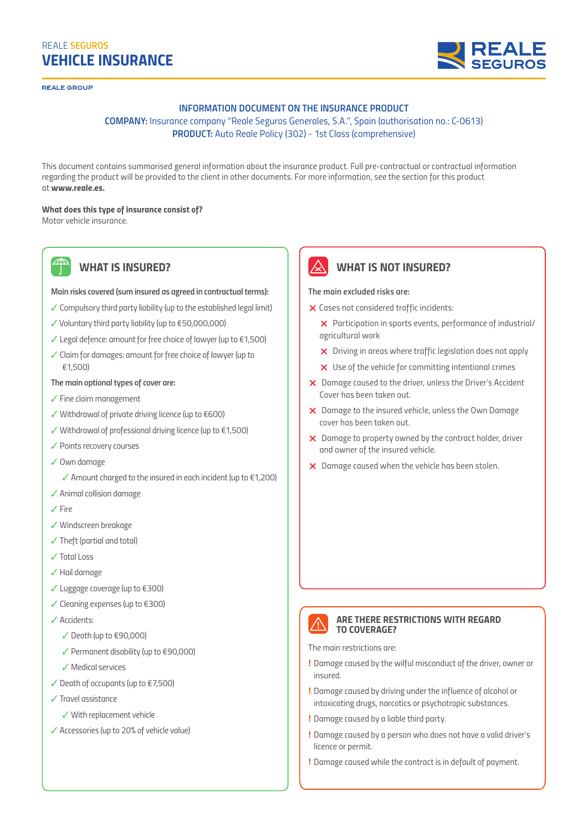# *VEHICLE INSURANCE REALE SEGUROS*

**PEALE GROUP** 

#### *INFORMATION DOCUMENT ON THE INSURANCE PRODUCT*

## *COMPANY: Insurance company "Reale Seguros Generales, S.A.", Spain (authorisation no.: C-0613) PRODUCT: Auto Reale Policy (302) - 1st Class (comprehensive)*

*This document contains summarised general information about the insurance product. Full pre-contractual or contractual information regarding the product will be provided to the client in other documents. For more information, see the section for this product at www.reale.es.*

#### *What does this type of insurance consist of?*

*Motor vehicle insurance.*

*WHAT IS INSURED?*

#### *Main risks covered (sum insured as agreed in contractual terms):*

- ✓ *Compulsory third party liability (up to the established legal limit)*
- ✓ *Voluntary third party liability (up to €50,000,000)*
- ✓ *Legal defence: amount for free choice of lawyer (up to €1,500)*
- ✓ *Claim for damages: amount for free choice of lawyer (up to €1,500)*

#### *The main optional types of cover are:*

- ✓ *Fine claim management*
- ✓ *Withdrawal of private driving licence (up to €600)*
- ✓ *Withdrawal of professional driving licence (up to €1,500)*
- ✓ *Points recovery courses*
- ✓ *Own damage*
	- ✓ *Amount charged to the insured in each incident (up to €1,200)*
- ✓ *Animal collision damage*
- ✓ *Fire*
- ✓ *Windscreen breakage*
- ✓ *Theft (partial and total)*
- ✓ *Total Loss*
- ✓ *Hail damage*
- ✓ *Luggage coverage (up to €300)*
- ✓ *Cleaning expenses (up to €300)*
- ✓ *Accidents:*
	- ✓ *Death (up to €90,000)*
	- ✓ *Permanent disability (up to €90,000)*
	- ✓ *Medical services*
- ✓ *Death of occupants (up to €7,500)*
- ✓ *Travel assistance*
	- ✓ *With replacement vehicle*
- ✓ *Accessories (up to 20% of vehicle value)*



### *WHAT IS NOT INSURED?*

#### *The main excluded risks are:*

- *Cases not considered traffic incidents:*
	- *Participation in sports events, performance of industrial/ agricultural work*
	- *Driving in areas where traffic legislation does not apply*
	- *Use of the vehicle for committing intentional crimes*
- *Damage caused to the driver, unless the Driver's Accident Cover has been taken out.*
- *Damage to the insured vehicle, unless the Own Damage cover has been taken out.*
- *Damage to property owned by the contract holder, driver and owner of the insured vehicle.*
- *Damage caused when the vehicle has been stolen.*



#### *ARE THERE RESTRICTIONS WITH REGARD TO COVERAGE?*

*The main restrictions are:*

- **!** *Damage caused by the wilful misconduct of the driver, owner or insured.*
- **!** *Damage caused by driving under the influence of alcohol or intoxicating drugs, narcotics or psychotropic substances.*
- **!** *Damage caused by a liable third party.*
- **!** *Damage caused by a person who does not have a valid driver's licence or permit.*
- **!** *Damage caused while the contract is in default of payment.*